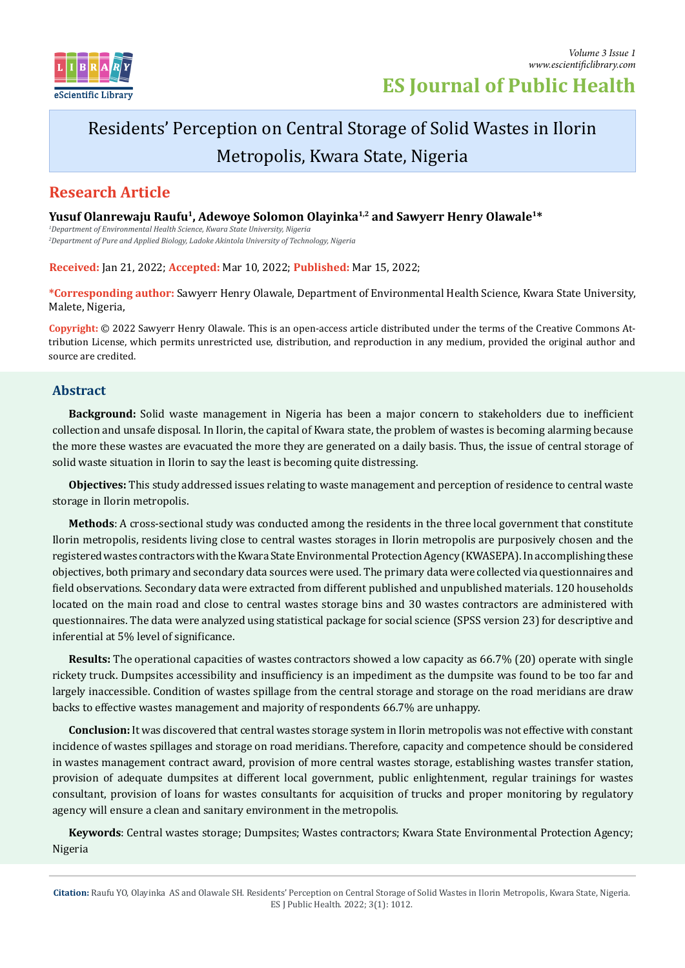

# **ES Journal of Public Health**

# Residents' Perception on Central Storage of Solid Wastes in Ilorin Metropolis, Kwara State, Nigeria

## **Research Article**

Yusuf Olanrewaju Raufu<sup>1</sup>, Adewoye Solomon Olayinka<sup>1,2</sup> and Sawyerr Henry Olawale<sup>1\*</sup>

*1 Department of Environmental Health Science, Kwara State University, Nigeria 2 Department of Pure and Applied Biology, Ladoke Akintola University of Technology, Nigeria*

**Received:** Jan 21, 2022; **Accepted:** Mar 10, 2022; **Published:** Mar 15, 2022;

**\*Corresponding author:** Sawyerr Henry Olawale, Department of Environmental Health Science, Kwara State University, Malete, Nigeria,

**Copyright:** © 2022 Sawyerr Henry Olawale. This is an open-access article distributed under the terms of the Creative Commons Attribution License, which permits unrestricted use, distribution, and reproduction in any medium, provided the original author and source are credited.

## **Abstract**

**Background:** Solid waste management in Nigeria has been a major concern to stakeholders due to inefficient collection and unsafe disposal. In Ilorin, the capital of Kwara state, the problem of wastes is becoming alarming because the more these wastes are evacuated the more they are generated on a daily basis. Thus, the issue of central storage of solid waste situation in Ilorin to say the least is becoming quite distressing.

**Objectives:** This study addressed issues relating to waste management and perception of residence to central waste storage in Ilorin metropolis.

**Methods**: A cross-sectional study was conducted among the residents in the three local government that constitute Ilorin metropolis, residents living close to central wastes storages in Ilorin metropolis are purposively chosen and the registered wastes contractors with the Kwara State Environmental Protection Agency (KWASEPA). In accomplishing these objectives, both primary and secondary data sources were used. The primary data were collected via questionnaires and field observations. Secondary data were extracted from different published and unpublished materials. 120 households located on the main road and close to central wastes storage bins and 30 wastes contractors are administered with questionnaires. The data were analyzed using statistical package for social science (SPSS version 23) for descriptive and inferential at 5% level of significance.

**Results:** The operational capacities of wastes contractors showed a low capacity as 66.7% (20) operate with single rickety truck. Dumpsites accessibility and insufficiency is an impediment as the dumpsite was found to be too far and largely inaccessible. Condition of wastes spillage from the central storage and storage on the road meridians are draw backs to effective wastes management and majority of respondents 66.7% are unhappy.

**Conclusion:** It was discovered that central wastes storage system in Ilorin metropolis was not effective with constant incidence of wastes spillages and storage on road meridians. Therefore, capacity and competence should be considered in wastes management contract award, provision of more central wastes storage, establishing wastes transfer station, provision of adequate dumpsites at different local government, public enlightenment, regular trainings for wastes consultant, provision of loans for wastes consultants for acquisition of trucks and proper monitoring by regulatory agency will ensure a clean and sanitary environment in the metropolis.

**Keywords**: Central wastes storage; Dumpsites; Wastes contractors; Kwara State Environmental Protection Agency; Nigeria

**Citation:** Raufu YO, Olayinka AS and Olawale SH. Residents' Perception on Central Storage of Solid Wastes in Ilorin Metropolis, Kwara State, Nigeria. ES J Public Health. 2022; 3(1): 1012.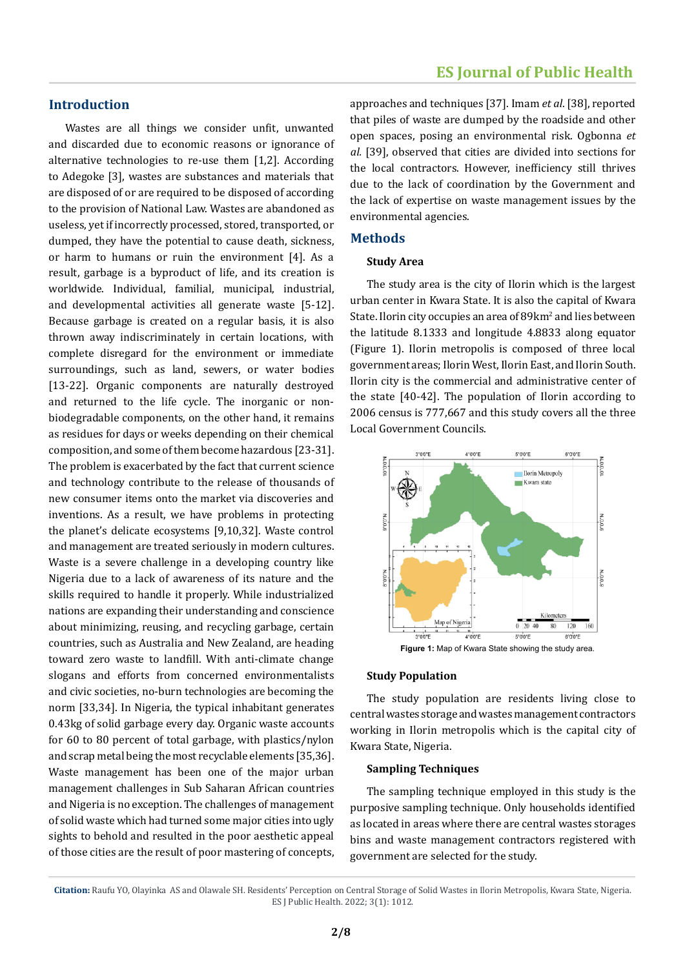### **Introduction**

Wastes are all things we consider unfit, unwanted and discarded due to economic reasons or ignorance of alternative technologies to re-use them [1,2]. According to Adegoke [3], wastes are substances and materials that are disposed of or are required to be disposed of according to the provision of National Law. Wastes are abandoned as useless, yet if incorrectly processed, stored, transported, or dumped, they have the potential to cause death, sickness, or harm to humans or ruin the environment [4]. As a result, garbage is a byproduct of life, and its creation is worldwide. Individual, familial, municipal, industrial, and developmental activities all generate waste [5-12]. Because garbage is created on a regular basis, it is also thrown away indiscriminately in certain locations, with complete disregard for the environment or immediate surroundings, such as land, sewers, or water bodies [13-22]. Organic components are naturally destroyed and returned to the life cycle. The inorganic or nonbiodegradable components, on the other hand, it remains as residues for days or weeks depending on their chemical composition, and some of them become hazardous [23-31]. The problem is exacerbated by the fact that current science and technology contribute to the release of thousands of new consumer items onto the market via discoveries and inventions. As a result, we have problems in protecting the planet's delicate ecosystems [9,10,32]. Waste control and management are treated seriously in modern cultures. Waste is a severe challenge in a developing country like Nigeria due to a lack of awareness of its nature and the skills required to handle it properly. While industrialized nations are expanding their understanding and conscience about minimizing, reusing, and recycling garbage, certain countries, such as Australia and New Zealand, are heading toward zero waste to landfill. With anti-climate change slogans and efforts from concerned environmentalists and civic societies, no-burn technologies are becoming the norm [33,34]. In Nigeria, the typical inhabitant generates 0.43kg of solid garbage every day. Organic waste accounts for 60 to 80 percent of total garbage, with plastics/nylon and scrap metal being the most recyclable elements [35,36]. Waste management has been one of the major urban management challenges in Sub Saharan African countries and Nigeria is no exception. The challenges of management of solid waste which had turned some major cities into ugly sights to behold and resulted in the poor aesthetic appeal of those cities are the result of poor mastering of concepts,

approaches and techniques [37]. Imam *et al*. [38], reported that piles of waste are dumped by the roadside and other open spaces, posing an environmental risk. Ogbonna *et al.* [39], observed that cities are divided into sections for the local contractors. However, inefficiency still thrives due to the lack of coordination by the Government and the lack of expertise on waste management issues by the environmental agencies.

#### **Methods**

#### **Study Area**

The study area is the city of Ilorin which is the largest urban center in Kwara State. It is also the capital of Kwara State. Ilorin city occupies an area of 89km<sup>2</sup> and lies between the latitude 8.1333 and longitude 4.8833 along equator (Figure 1). Ilorin metropolis is composed of three local government areas; Ilorin West, Ilorin East, and Ilorin South. Ilorin city is the commercial and administrative center of the state [40-42]. The population of Ilorin according to 2006 census is 777,667 and this study covers all the three Local Government Councils.



#### **Study Population**

The study population are residents living close to central wastes storage and wastes management contractors working in Ilorin metropolis which is the capital city of Kwara State, Nigeria.

#### **Sampling Techniques**

The sampling technique employed in this study is the purposive sampling technique. Only households identified as located in areas where there are central wastes storages bins and waste management contractors registered with government are selected for the study.

**Citation:** Raufu YO, Olayinka AS and Olawale SH. Residents' Perception on Central Storage of Solid Wastes in Ilorin Metropolis, Kwara State, Nigeria. ES J Public Health. 2022; 3(1): 1012.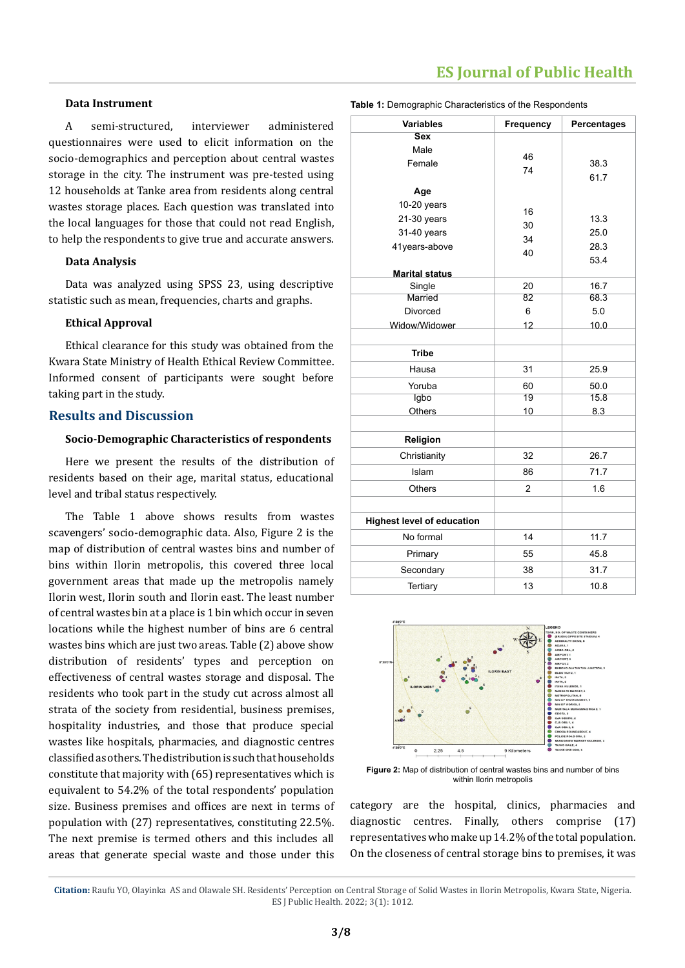## **ES Journal of Public Health**

#### **Data Instrument**

A semi-structured, interviewer administered questionnaires were used to elicit information on the socio-demographics and perception about central wastes storage in the city. The instrument was pre-tested using 12 households at Tanke area from residents along central wastes storage places. Each question was translated into the local languages for those that could not read English, to help the respondents to give true and accurate answers.

#### **Data Analysis**

Data was analyzed using SPSS 23, using descriptive statistic such as mean, frequencies, charts and graphs.

#### **Ethical Approval**

Ethical clearance for this study was obtained from the Kwara State Ministry of Health Ethical Review Committee. Informed consent of participants were sought before taking part in the study.

#### **Results and Discussion**

#### **Socio-Demographic Characteristics of respondents**

Here we present the results of the distribution of residents based on their age, marital status, educational level and tribal status respectively.

The Table 1 above shows results from wastes scavengers' socio-demographic data. Also, Figure 2 is the map of distribution of central wastes bins and number of bins within Ilorin metropolis, this covered three local government areas that made up the metropolis namely Ilorin west, Ilorin south and Ilorin east. The least number of central wastes bin at a place is 1 bin which occur in seven locations while the highest number of bins are 6 central wastes bins which are just two areas. Table (2) above show distribution of residents' types and perception on effectiveness of central wastes storage and disposal. The residents who took part in the study cut across almost all strata of the society from residential, business premises, hospitality industries, and those that produce special wastes like hospitals, pharmacies, and diagnostic centres classified as others. The distribution is such that households constitute that majority with (65) representatives which is equivalent to 54.2% of the total respondents' population size. Business premises and offices are next in terms of population with (27) representatives, constituting 22.5%. The next premise is termed others and this includes all areas that generate special waste and those under this

| Table 1: Demographic Characteristics of the Respondents |  |  |  |
|---------------------------------------------------------|--|--|--|
|---------------------------------------------------------|--|--|--|

| <b>Variables</b>                  | <b>Frequency</b> | Percentages |  |  |
|-----------------------------------|------------------|-------------|--|--|
| <b>Sex</b>                        |                  |             |  |  |
| Male                              | 46               |             |  |  |
| Female                            | 74               | 38.3        |  |  |
|                                   |                  | 61.7        |  |  |
| Age                               |                  |             |  |  |
| 10-20 years                       | 16               |             |  |  |
| 21-30 years                       | 30               | 13.3        |  |  |
| 31-40 years                       | 34               | 25.0        |  |  |
| 41years-above                     | 40               | 28.3        |  |  |
|                                   |                  | 53.4        |  |  |
| <b>Marital status</b>             |                  |             |  |  |
| Single                            | 20               | 16.7        |  |  |
| Married                           | 82               | 68.3        |  |  |
| <b>Divorced</b>                   | 6                | 5.0         |  |  |
| Widow/Widower                     | 12               | 10.0        |  |  |
| <b>Tribe</b>                      |                  |             |  |  |
| Hausa                             | 31               | 25.9        |  |  |
| Yoruba                            | 60               | 50.0        |  |  |
| Igbo                              | 19               | 15.8        |  |  |
| Others                            | 10               | 8.3         |  |  |
|                                   |                  |             |  |  |
| Religion                          |                  |             |  |  |
| Christianity                      | 32               | 26.7        |  |  |
| Islam                             | 86               | 71.7        |  |  |
| <b>Others</b>                     | $\overline{2}$   | 1.6         |  |  |
|                                   |                  |             |  |  |
| <b>Highest level of education</b> |                  |             |  |  |
| No formal                         | 14               | 11.7        |  |  |
| Primary                           | 55               | 45.8        |  |  |
| Secondary                         | 38               | 31.7        |  |  |
| Tertiary                          | 13               | 10.8        |  |  |



**Figure 2:** Map of distribution of central wastes bins and number of bins within Ilorin metropolis

category are the hospital, clinics, pharmacies and diagnostic centres. Finally, others comprise (17) representatives who make up 14.2% of the total population. On the closeness of central storage bins to premises, it was

**Citation:** Raufu YO, Olayinka AS and Olawale SH. Residents' Perception on Central Storage of Solid Wastes in Ilorin Metropolis, Kwara State, Nigeria. ES J Public Health. 2022; 3(1): 1012.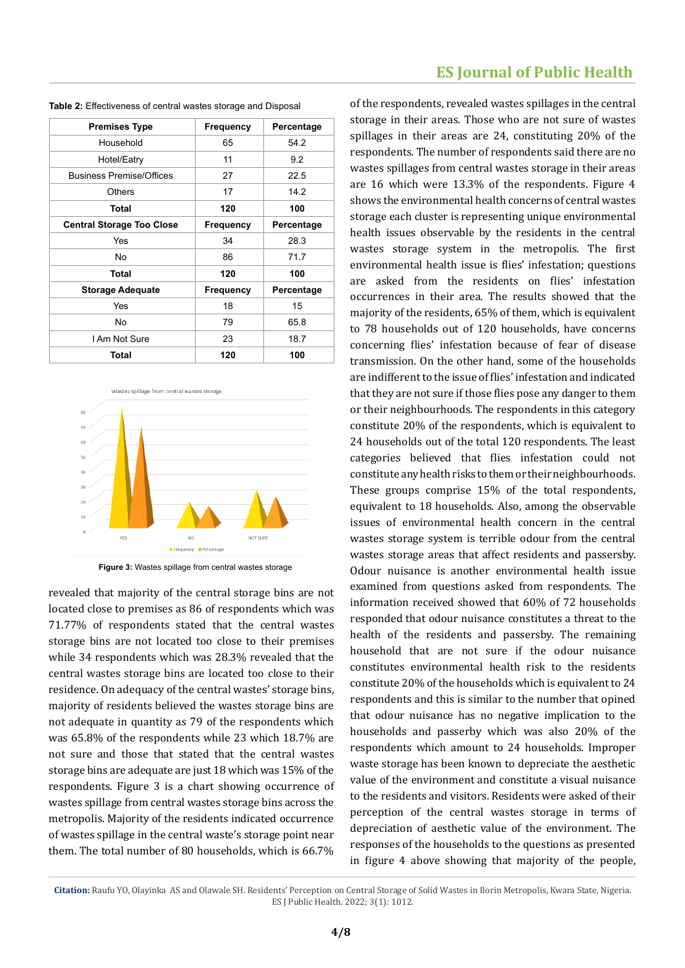| <b>Premises Type</b>             | Frequency | Percentage |  |  |
|----------------------------------|-----------|------------|--|--|
| Household                        | 65        | 54.2       |  |  |
| Hotel/Eatry                      | 11        | 9.2        |  |  |
| <b>Business Premise/Offices</b>  | 27        | 22.5       |  |  |
| Others                           | 17        | 14.2       |  |  |
| Total                            | 120       | 100        |  |  |
| <b>Central Storage Too Close</b> | Frequency | Percentage |  |  |
| Yes                              | 34        | 28.3       |  |  |
| No                               | 86        | 71.7       |  |  |
| Total                            | 120       | 100        |  |  |
| <b>Storage Adequate</b>          | Frequency | Percentage |  |  |
| Yes                              | 18        | 15         |  |  |
| No.                              | 79        | 65.8       |  |  |
| I Am Not Sure                    | 23        | 18.7       |  |  |
| Total                            | 120       | 100        |  |  |

| Table 2: Effectiveness of central wastes storage and Disposal |  |  |  |  |  |  |
|---------------------------------------------------------------|--|--|--|--|--|--|
|---------------------------------------------------------------|--|--|--|--|--|--|



**Figure 3:** Wastes spillage from central wastes storage

revealed that majority of the central storage bins are not located close to premises as 86 of respondents which was 71.77% of respondents stated that the central wastes storage bins are not located too close to their premises while 34 respondents which was 28.3% revealed that the central wastes storage bins are located too close to their residence. On adequacy of the central wastes' storage bins, majority of residents believed the wastes storage bins are not adequate in quantity as 79 of the respondents which was 65.8% of the respondents while 23 which 18.7% are not sure and those that stated that the central wastes storage bins are adequate are just 18 which was 15% of the respondents. Figure 3 is a chart showing occurrence of wastes spillage from central wastes storage bins across the metropolis. Majority of the residents indicated occurrence of wastes spillage in the central waste's storage point near them. The total number of 80 households, which is 66.7%

## **ES Journal of Public Health**

of the respondents, revealed wastes spillages in the central storage in their areas. Those who are not sure of wastes spillages in their areas are 24, constituting 20% of the respondents. The number of respondents said there are no wastes spillages from central wastes storage in their areas are 16 which were 13.3% of the respondents. Figure 4 shows the environmental health concerns of central wastes storage each cluster is representing unique environmental health issues observable by the residents in the central wastes storage system in the metropolis. The first environmental health issue is flies' infestation; questions are asked from the residents on flies' infestation occurrences in their area. The results showed that the majority of the residents, 65% of them, which is equivalent to 78 households out of 120 households, have concerns concerning flies' infestation because of fear of disease transmission. On the other hand, some of the households are indifferent to the issue of flies' infestation and indicated that they are not sure if those flies pose any danger to them or their neighbourhoods. The respondents in this category constitute 20% of the respondents, which is equivalent to 24 households out of the total 120 respondents. The least categories believed that flies infestation could not constitute any health risks to them or their neighbourhoods. These groups comprise 15% of the total respondents, equivalent to 18 households. Also, among the observable issues of environmental health concern in the central wastes storage system is terrible odour from the central wastes storage areas that affect residents and passersby. Odour nuisance is another environmental health issue examined from questions asked from respondents. The information received showed that 60% of 72 households responded that odour nuisance constitutes a threat to the health of the residents and passersby. The remaining household that are not sure if the odour nuisance constitutes environmental health risk to the residents constitute 20% of the households which is equivalent to 24 respondents and this is similar to the number that opined that odour nuisance has no negative implication to the households and passerby which was also 20% of the respondents which amount to 24 households. Improper waste storage has been known to depreciate the aesthetic value of the environment and constitute a visual nuisance to the residents and visitors. Residents were asked of their perception of the central wastes storage in terms of depreciation of aesthetic value of the environment. The responses of the households to the questions as presented in figure 4 above showing that majority of the people,

**Citation:** Raufu YO, Olayinka AS and Olawale SH. Residents' Perception on Central Storage of Solid Wastes in Ilorin Metropolis, Kwara State, Nigeria. ES J Public Health. 2022; 3(1): 1012.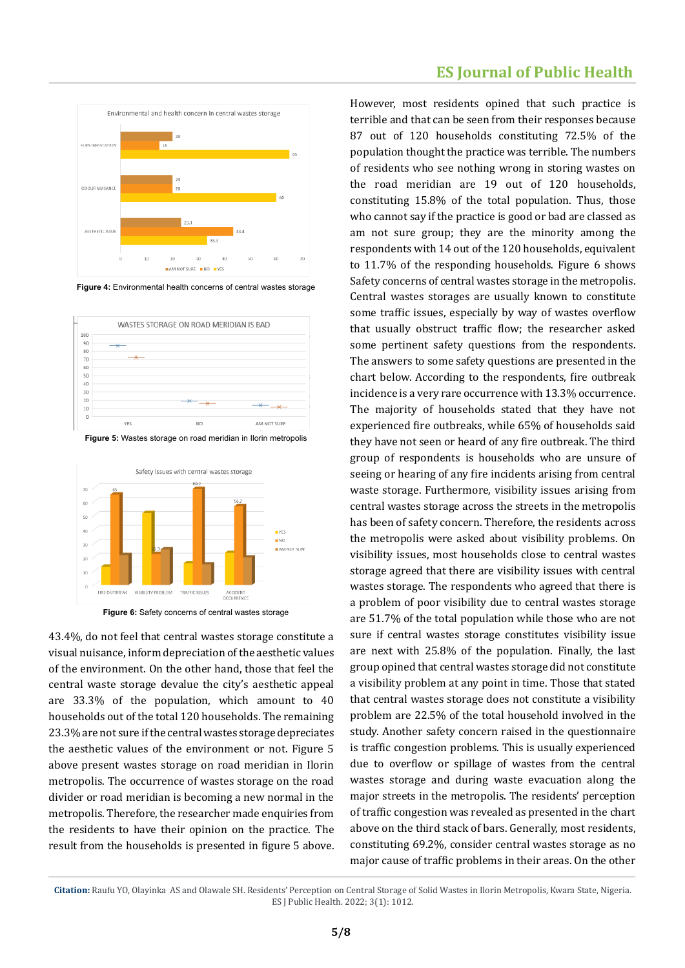

**Figure 4:** Environmental health concerns of central wastes storage



**Figure 5:** Wastes storage on road meridian in Ilorin metropolis



**Figure 6:** Safety concerns of central wastes storage

43.4%, do not feel that central wastes storage constitute a visual nuisance, inform depreciation of the aesthetic values of the environment. On the other hand, those that feel the central waste storage devalue the city's aesthetic appeal are 33.3% of the population, which amount to 40 households out of the total 120 households. The remaining 23.3% are not sure if the central wastes storage depreciates the aesthetic values of the environment or not. Figure 5 above present wastes storage on road meridian in Ilorin metropolis. The occurrence of wastes storage on the road divider or road meridian is becoming a new normal in the metropolis. Therefore, the researcher made enquiries from the residents to have their opinion on the practice. The result from the households is presented in figure 5 above.

## **ES Journal of Public Health**

However, most residents opined that such practice is terrible and that can be seen from their responses because 87 out of 120 households constituting 72.5% of the population thought the practice was terrible. The numbers of residents who see nothing wrong in storing wastes on the road meridian are 19 out of 120 households, constituting 15.8% of the total population. Thus, those who cannot say if the practice is good or bad are classed as am not sure group; they are the minority among the respondents with 14 out of the 120 households, equivalent to 11.7% of the responding households. Figure 6 shows Safety concerns of central wastes storage in the metropolis. Central wastes storages are usually known to constitute some traffic issues, especially by way of wastes overflow that usually obstruct traffic flow; the researcher asked some pertinent safety questions from the respondents. The answers to some safety questions are presented in the chart below. According to the respondents, fire outbreak incidence is a very rare occurrence with 13.3% occurrence. The majority of households stated that they have not experienced fire outbreaks, while 65% of households said they have not seen or heard of any fire outbreak. The third group of respondents is households who are unsure of seeing or hearing of any fire incidents arising from central waste storage. Furthermore, visibility issues arising from central wastes storage across the streets in the metropolis has been of safety concern. Therefore, the residents across the metropolis were asked about visibility problems. On visibility issues, most households close to central wastes storage agreed that there are visibility issues with central wastes storage. The respondents who agreed that there is a problem of poor visibility due to central wastes storage are 51.7% of the total population while those who are not sure if central wastes storage constitutes visibility issue are next with 25.8% of the population. Finally, the last group opined that central wastes storage did not constitute a visibility problem at any point in time. Those that stated that central wastes storage does not constitute a visibility problem are 22.5% of the total household involved in the study. Another safety concern raised in the questionnaire is traffic congestion problems. This is usually experienced due to overflow or spillage of wastes from the central wastes storage and during waste evacuation along the major streets in the metropolis. The residents' perception of traffic congestion was revealed as presented in the chart above on the third stack of bars. Generally, most residents, constituting 69.2%, consider central wastes storage as no major cause of traffic problems in their areas. On the other

**Citation:** Raufu YO, Olayinka AS and Olawale SH. Residents' Perception on Central Storage of Solid Wastes in Ilorin Metropolis, Kwara State, Nigeria. ES J Public Health. 2022; 3(1): 1012.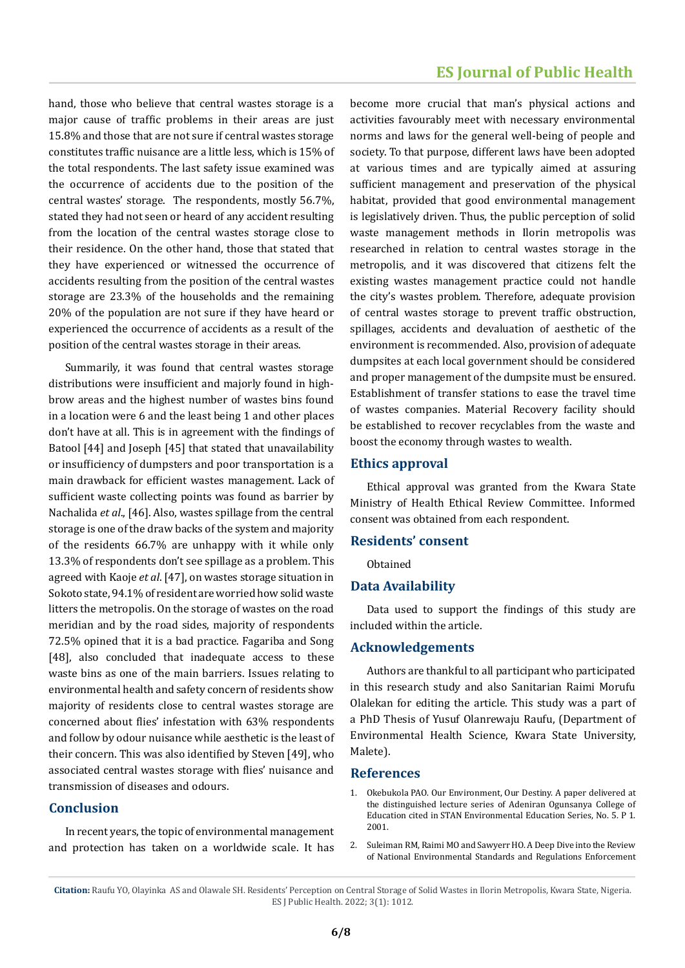hand, those who believe that central wastes storage is a major cause of traffic problems in their areas are just 15.8% and those that are not sure if central wastes storage constitutes traffic nuisance are a little less, which is 15% of the total respondents. The last safety issue examined was the occurrence of accidents due to the position of the central wastes' storage. The respondents, mostly 56.7%, stated they had not seen or heard of any accident resulting from the location of the central wastes storage close to their residence. On the other hand, those that stated that they have experienced or witnessed the occurrence of accidents resulting from the position of the central wastes storage are 23.3% of the households and the remaining 20% of the population are not sure if they have heard or experienced the occurrence of accidents as a result of the position of the central wastes storage in their areas.

Summarily, it was found that central wastes storage distributions were insufficient and majorly found in highbrow areas and the highest number of wastes bins found in a location were 6 and the least being 1 and other places don't have at all. This is in agreement with the findings of Batool [44] and Joseph [45] that stated that unavailability or insufficiency of dumpsters and poor transportation is a main drawback for efficient wastes management. Lack of sufficient waste collecting points was found as barrier by Nachalida *et al*., [46]. Also, wastes spillage from the central storage is one of the draw backs of the system and majority of the residents 66.7% are unhappy with it while only 13.3% of respondents don't see spillage as a problem. This agreed with Kaoje *et al*. [47], on wastes storage situation in Sokoto state, 94.1% of resident are worried how solid waste litters the metropolis. On the storage of wastes on the road meridian and by the road sides, majority of respondents 72.5% opined that it is a bad practice. Fagariba and Song [48], also concluded that inadequate access to these waste bins as one of the main barriers. Issues relating to environmental health and safety concern of residents show majority of residents close to central wastes storage are concerned about flies' infestation with 63% respondents and follow by odour nuisance while aesthetic is the least of their concern. This was also identified by Steven [49], who associated central wastes storage with flies' nuisance and transmission of diseases and odours.

#### **Conclusion**

In recent years, the topic of environmental management and protection has taken on a worldwide scale. It has become more crucial that man's physical actions and activities favourably meet with necessary environmental norms and laws for the general well-being of people and society. To that purpose, different laws have been adopted at various times and are typically aimed at assuring sufficient management and preservation of the physical habitat, provided that good environmental management is legislatively driven. Thus, the public perception of solid waste management methods in Ilorin metropolis was researched in relation to central wastes storage in the metropolis, and it was discovered that citizens felt the existing wastes management practice could not handle the city's wastes problem. Therefore, adequate provision of central wastes storage to prevent traffic obstruction, spillages, accidents and devaluation of aesthetic of the environment is recommended. Also, provision of adequate dumpsites at each local government should be considered and proper management of the dumpsite must be ensured. Establishment of transfer stations to ease the travel time of wastes companies. Material Recovery facility should be established to recover recyclables from the waste and boost the economy through wastes to wealth.

#### **Ethics approval**

Ethical approval was granted from the Kwara State Ministry of Health Ethical Review Committee. Informed consent was obtained from each respondent.

#### **Residents' consent**

Obtained

#### **Data Availability**

Data used to support the findings of this study are included within the article.

#### **Acknowledgements**

Authors are thankful to all participant who participated in this research study and also Sanitarian Raimi Morufu Olalekan for editing the article. This study was a part of a PhD Thesis of Yusuf Olanrewaju Raufu, (Department of Environmental Health Science, Kwara State University, Malete).

#### **References**

- 1. Okebukola PAO. Our Environment, Our Destiny. A paper delivered at the distinguished lecture series of Adeniran Ogunsanya College of Education cited in STAN Environmental Education Series, No. 5. P 1. 2001.
- 2. [Suleiman RM, Raimi MO and Sawyerr HO. A Deep Dive into the Review](https://scirange.com/abstract/irjas.2019.108.125)  [of National Environmental Standards and Regulations Enforcement](https://scirange.com/abstract/irjas.2019.108.125)

**Citation:** Raufu YO, Olayinka AS and Olawale SH. Residents' Perception on Central Storage of Solid Wastes in Ilorin Metropolis, Kwara State, Nigeria. ES J Public Health. 2022; 3(1): 1012.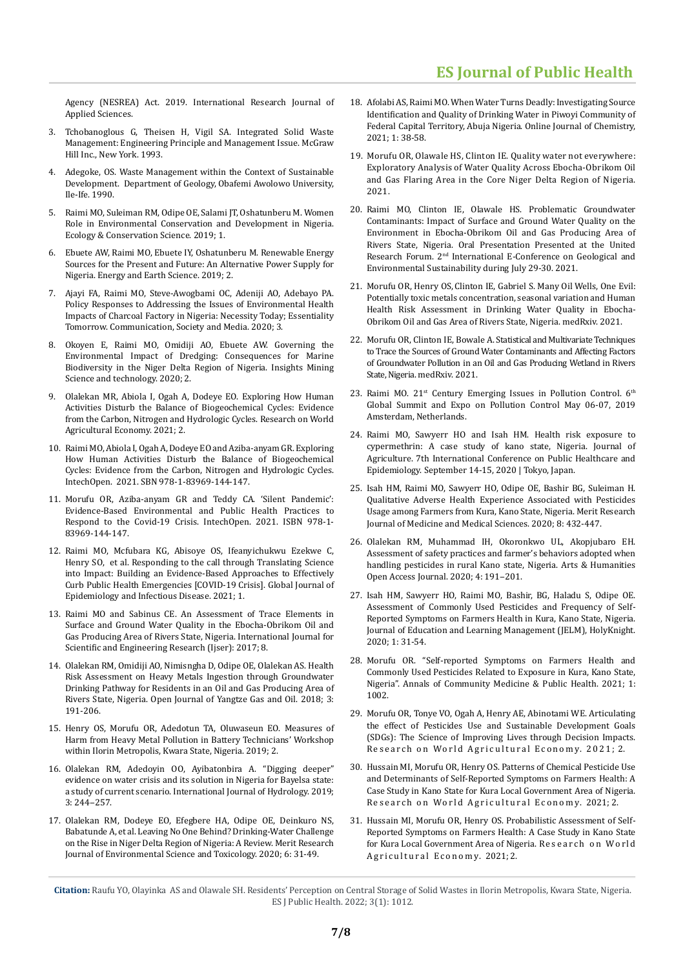[Agency \(NESREA\) Act. 2019. International Research Journal of](https://scirange.com/abstract/irjas.2019.108.125)  [Applied Sciences.](https://scirange.com/abstract/irjas.2019.108.125) 

- 3. [Tchobanoglous G, Theisen H, Vigil SA. Integrated Solid Waste](https://www.cabdirect.org/cabdirect/abstract/19931378795)  [Management: Engineering Principle and Management Issue. McGraw](https://www.cabdirect.org/cabdirect/abstract/19931378795)  [Hill Inc., New York. 1993.](https://www.cabdirect.org/cabdirect/abstract/19931378795)
- 4. [Adegoke, OS. Waste Management within the Context of Sustainable](https://www.sciencedirect.com/science/article/pii/S2212567115008254)  [Development. Department of Geology, Obafemi Awolowo University,](https://www.sciencedirect.com/science/article/pii/S2212567115008254)  [Ile-Ife. 1990.](https://www.sciencedirect.com/science/article/pii/S2212567115008254)
- 5. [Raimi MO, Suleiman RM, Odipe OE, Salami JT, Oshatunberu M. Women](https://juniperpublishers.com/ecoa/pdf/ECOA.MS.ID.555558.pdf)  [Role in Environmental Conservation and Development in Nigeria.](https://juniperpublishers.com/ecoa/pdf/ECOA.MS.ID.555558.pdf)  [Ecology & Conservation Science. 2019; 1.](https://juniperpublishers.com/ecoa/pdf/ECOA.MS.ID.555558.pdf)
- 6. [Ebuete AW, Raimi MO, Ebuete IY, Oshatunberu M. Renewable Energy](http://www.scholink.org/ojs/index.php/ees/article/view/2124)  [Sources for the Present and Future: An Alternative Power Supply for](http://www.scholink.org/ojs/index.php/ees/article/view/2124)  [Nigeria. Energy and Earth Science. 2019; 2.](http://www.scholink.org/ojs/index.php/ees/article/view/2124)
- 7. [Ajayi FA, Raimi MO, Steve-Awogbami OC, Adeniji AO, Adebayo PA.](https://doi.org/10.22158/csm.v3n3p1)  [Policy Responses to Addressing the Issues of Environmental Health](https://doi.org/10.22158/csm.v3n3p1)  [Impacts of Charcoal Factory in Nigeria: Necessity Today; Essentiality](https://doi.org/10.22158/csm.v3n3p1)  [Tomorrow. Communication, Society and Media. 2020; 3.](https://doi.org/10.22158/csm.v3n3p1)
- 8. [Okoyen E, Raimi MO, Omidiji AO, Ebuete AW. Governing the](https://juniperpublishers.com/imst/pdf/IMST.MS.ID.555586.pdf)  [Environmental Impact of Dredging: Consequences for Marine](https://juniperpublishers.com/imst/pdf/IMST.MS.ID.555586.pdf)  [Biodiversity in the Niger Delta Region of Nigeria. Insights Mining](https://juniperpublishers.com/imst/pdf/IMST.MS.ID.555586.pdf)  [Science and technology. 2020; 2.](https://juniperpublishers.com/imst/pdf/IMST.MS.ID.555586.pdf)
- 9. [Olalekan MR, Abiola I, Ogah A, Dodeye EO. Exploring How Human](http://ojs.nassg.org/index.php/rwae)  [Activities Disturb the Balance of Biogeochemical Cycles: Evidence](http://ojs.nassg.org/index.php/rwae)  [from the Carbon, Nitrogen and Hydrologic Cycles. Research on World](http://ojs.nassg.org/index.php/rwae)  [Agricultural Economy. 2021; 2.](http://ojs.nassg.org/index.php/rwae)
- 10. Raimi MO, Abiola [I, OgahA, Dodeye EO and Aziba-anyam GR. Exploring](https://www.intechopen.com/chapters/77696https:/www.intechopen.com/online-first/77696. ISBN 978-1-83969-144-7)  [How Human Activities Disturb the Balance of Biogeochemical](https://www.intechopen.com/chapters/77696https:/www.intechopen.com/online-first/77696. ISBN 978-1-83969-144-7)  [Cycles: Evidence from the Carbon, Nitrogen and Hydrologic Cycles.](https://www.intechopen.com/chapters/77696https:/www.intechopen.com/online-first/77696. ISBN 978-1-83969-144-7)  [IntechOpen. 2021. SBN 978-1-83969-144-147.](https://www.intechopen.com/chapters/77696https:/www.intechopen.com/online-first/77696. ISBN 978-1-83969-144-7)
- 11. [Morufu OR, Aziba-anyam GR and Teddy CA. 'Silent Pandemic':](http://dx.doi.org/10.5772/intechopen.100204)  [Evidence-Based Environmental and Public Health Practices to](http://dx.doi.org/10.5772/intechopen.100204)  [Respond to the Covid-19 Crisis. IntechOpen. 2021. ISBN 978-1-](http://dx.doi.org/10.5772/intechopen.100204) [83969-144-147.](http://dx.doi.org/10.5772/intechopen.100204)
- 12. [Raimi MO, Mcfubara KG, Abisoye OS, Ifeanyichukwu Ezekwe C,](https://www.scipublications.com/journal/index.php/gjeid/article/view/72)  [Henry SO, et al. Responding to the call through Translating Science](https://www.scipublications.com/journal/index.php/gjeid/article/view/72)  [into Impact: Building an Evidence-Based Approaches to Effectively](https://www.scipublications.com/journal/index.php/gjeid/article/view/72)  [Curb Public Health Emergencies \[COVID-19 Crisis\]. Global Journal of](https://www.scipublications.com/journal/index.php/gjeid/article/view/72)  [Epidemiology and Infectious Disease. 2021; 1.](https://www.scipublications.com/journal/index.php/gjeid/article/view/72)
- 13. [Raimi MO and Sabinus CE. An Assessment of Trace Elements in](https://papers.ssrn.com/sol3/papers.cfm?abstract_id=3155472)  [Surface and Ground Water Quality in the Ebocha-Obrikom Oil and](https://papers.ssrn.com/sol3/papers.cfm?abstract_id=3155472)  [Gas Producing Area of Rivers State, Nigeria. International Journal for](https://papers.ssrn.com/sol3/papers.cfm?abstract_id=3155472)  [Scientific and Engineering Research \(Ijser\): 2017; 8.](https://papers.ssrn.com/sol3/papers.cfm?abstract_id=3155472)
- 14. [Olalekan RM, Omidiji AO, Nimisngha D, Odipe OE, Olalekan AS. Health](https://doi.org/10.4236/ojogas.2018.33017)  [Risk Assessment on Heavy Metals Ingestion through Groundwater](https://doi.org/10.4236/ojogas.2018.33017)  [Drinking Pathway for Residents in an Oil and Gas Producing Area of](https://doi.org/10.4236/ojogas.2018.33017)  [Rivers State, Nigeria. Open Journal of Yangtze Gas and Oil. 2018; 3:](https://doi.org/10.4236/ojogas.2018.33017)  [191-206.](https://doi.org/10.4236/ojogas.2018.33017)
- 15. [Henry OS, Morufu OR, Adedotun TA, Oluwaseun EO. Measures of](https://papers.ssrn.com/sol3/papers.cfm?abstract_id=3395232)  [Harm from Heavy Metal Pollution in Battery Technicians' Workshop](https://papers.ssrn.com/sol3/papers.cfm?abstract_id=3395232)  [within Ilorin Metropolis, Kwara State, Nigeria. 2019; 2.](https://papers.ssrn.com/sol3/papers.cfm?abstract_id=3395232)
- 16. [Olalekan RM, Adedoyin OO, Ayibatonbira A. "Digging deeper"](https://medcraveonline.com/IJH/ldquodigging-deeperrdquo-evidence-on-water-crisis-and-its-solution-in-nigeria-for-bayelsa-state-a-study-of-current-scenario.html)  [evidence on water crisis and its solution in Nigeria for Bayelsa state:](https://medcraveonline.com/IJH/ldquodigging-deeperrdquo-evidence-on-water-crisis-and-its-solution-in-nigeria-for-bayelsa-state-a-study-of-current-scenario.html)  [a study of current scenario. International Journal of Hydrology. 2019;](https://medcraveonline.com/IJH/ldquodigging-deeperrdquo-evidence-on-water-crisis-and-its-solution-in-nigeria-for-bayelsa-state-a-study-of-current-scenario.html)  [3: 244‒257.](https://medcraveonline.com/IJH/ldquodigging-deeperrdquo-evidence-on-water-crisis-and-its-solution-in-nigeria-for-bayelsa-state-a-study-of-current-scenario.html)
- 17. [Olalekan RM, Dodeye EO, Efegbere HA, Odipe OE, Deinkuro NS,](https://www.researchgate.net/publication/341070685_Leaving_no_One_Behind_Drinking_Water_Challenge_on_the_Rise_in_Niger_Delta_Region_of_Nigeria_A_Review)  [Babatunde A, et al. Leaving No One Behind? Drinking-Water Challenge](https://www.researchgate.net/publication/341070685_Leaving_no_One_Behind_Drinking_Water_Challenge_on_the_Rise_in_Niger_Delta_Region_of_Nigeria_A_Review)  [on the Rise in Niger Delta Region of Nigeria: A Review. Merit Research](https://www.researchgate.net/publication/341070685_Leaving_no_One_Behind_Drinking_Water_Challenge_on_the_Rise_in_Niger_Delta_Region_of_Nigeria_A_Review)  [Journal of Environmental Science and Toxicology. 2020; 6: 31-49.](https://www.researchgate.net/publication/341070685_Leaving_no_One_Behind_Drinking_Water_Challenge_on_the_Rise_in_Niger_Delta_Region_of_Nigeria_A_Review)
- 18. [Afolabi AS, Raimi MO. When Water Turns Deadly: Investigating Source](1.%09www.scipublications.org/journal/index.php/ojc)  [Identification and Quality of Drinking Water in Piwoyi Community of](1.%09www.scipublications.org/journal/index.php/ojc)  [Federal Capital Territory, Abuja Nigeria. Online Journal of Chemistry,](1.%09www.scipublications.org/journal/index.php/ojc)  [2021; 1: 38-58.](1.%09www.scipublications.org/journal/index.php/ojc)
- 19. [Morufu OR, Olawale HS, Clinton IE. Quality water not everywhere:](https://doi.org/10.21203/rs.3.rs-953146/v1)  [Exploratory Analysis of Water Quality Across Ebocha-Obrikom Oil](https://doi.org/10.21203/rs.3.rs-953146/v1)  [and Gas Flaring Area in the Core Niger Delta Region of Nigeria.](https://doi.org/10.21203/rs.3.rs-953146/v1)  [2021.](https://doi.org/10.21203/rs.3.rs-953146/v1)
- 20. [Raimi MO, Clinton IE, Olawale HS. Problematic Groundwater](https://www.researchgate.net/publication/353954886_PROBLEMATIC_GROUNDWATER_CONTAMINANTS_IMPACT_OF_SURFACE_AND_GROUND_WATER_QUALITY_ON_THE_ENVIRONMENT_IN_EBOCHA-OBRIKOM_OIL_AND_GAS_PRODUCING_AREA_OF_RIVERS_STATE_NIGERIA_at_the_2_nd_International_E-Conf)  [Contaminants: Impact of Surface and Ground Water Quality on the](https://www.researchgate.net/publication/353954886_PROBLEMATIC_GROUNDWATER_CONTAMINANTS_IMPACT_OF_SURFACE_AND_GROUND_WATER_QUALITY_ON_THE_ENVIRONMENT_IN_EBOCHA-OBRIKOM_OIL_AND_GAS_PRODUCING_AREA_OF_RIVERS_STATE_NIGERIA_at_the_2_nd_International_E-Conf)  [Environment in Ebocha-Obrikom Oil and Gas Producing Area of](https://www.researchgate.net/publication/353954886_PROBLEMATIC_GROUNDWATER_CONTAMINANTS_IMPACT_OF_SURFACE_AND_GROUND_WATER_QUALITY_ON_THE_ENVIRONMENT_IN_EBOCHA-OBRIKOM_OIL_AND_GAS_PRODUCING_AREA_OF_RIVERS_STATE_NIGERIA_at_the_2_nd_International_E-Conf)  [Rivers State, Nigeria. Oral Presentation Presented at the United](https://www.researchgate.net/publication/353954886_PROBLEMATIC_GROUNDWATER_CONTAMINANTS_IMPACT_OF_SURFACE_AND_GROUND_WATER_QUALITY_ON_THE_ENVIRONMENT_IN_EBOCHA-OBRIKOM_OIL_AND_GAS_PRODUCING_AREA_OF_RIVERS_STATE_NIGERIA_at_the_2_nd_International_E-Conf)  [Research Forum. 2nd International E-Conference on Geological and](https://www.researchgate.net/publication/353954886_PROBLEMATIC_GROUNDWATER_CONTAMINANTS_IMPACT_OF_SURFACE_AND_GROUND_WATER_QUALITY_ON_THE_ENVIRONMENT_IN_EBOCHA-OBRIKOM_OIL_AND_GAS_PRODUCING_AREA_OF_RIVERS_STATE_NIGERIA_at_the_2_nd_International_E-Conf)  [Environmental Sustainability during July 29-30. 2021.](https://www.researchgate.net/publication/353954886_PROBLEMATIC_GROUNDWATER_CONTAMINANTS_IMPACT_OF_SURFACE_AND_GROUND_WATER_QUALITY_ON_THE_ENVIRONMENT_IN_EBOCHA-OBRIKOM_OIL_AND_GAS_PRODUCING_AREA_OF_RIVERS_STATE_NIGERIA_at_the_2_nd_International_E-Conf)
- 21. Morufu OR, Henry OS, [Clinton IE, Gabriel S. Many Oil Wells, One Evil:](https://www.researchgate.net/publication/356149069_Many_Oil_Wells_One_Evil_Potentially_toxic_metals_concentration_seasonal_variation_and_Human_Health_Risk_Assessment_in_Drinking_Water_Quality_in_Ebocha-Obrikom_Oil_and_Gas_Area_of_Rivers_State_Nigeria)  [Potentially toxic metals concentration, seasonal variation and](https://www.researchgate.net/publication/356149069_Many_Oil_Wells_One_Evil_Potentially_toxic_metals_concentration_seasonal_variation_and_Human_Health_Risk_Assessment_in_Drinking_Water_Quality_in_Ebocha-Obrikom_Oil_and_Gas_Area_of_Rivers_State_Nigeria) Human Health Risk Assessment in [Drinking Water Quality in Ebocha-](https://www.researchgate.net/publication/356149069_Many_Oil_Wells_One_Evil_Potentially_toxic_metals_concentration_seasonal_variation_and_Human_Health_Risk_Assessment_in_Drinking_Water_Quality_in_Ebocha-Obrikom_Oil_and_Gas_Area_of_Rivers_State_Nigeria)[Obrikom Oil and Gas Area of Rivers State, Nigeria. medRxiv.](https://www.researchgate.net/publication/356149069_Many_Oil_Wells_One_Evil_Potentially_toxic_metals_concentration_seasonal_variation_and_Human_Health_Risk_Assessment_in_Drinking_Water_Quality_in_Ebocha-Obrikom_Oil_and_Gas_Area_of_Rivers_State_Nigeria) 2021.
- 22. Morufu OR, Clinton IE, Bowale [A. Statistical and Multivariate Techniques](https://www.researchgate.net/publication/357449934_STATISTICAL_AND_MULTIVARIATE_TECHNIQUES_TO_TRACE_THE_SOURCES_OF_GROUND_WATER_CONTAMINANTS_AND_AFFECTING_FACTORS_OF_GROUNDWATER_POLLUTION_IN_AN_OIL_AND_GAS_PRODUCING_WETLAND_IN_RIVERS_STATE_NIGERIA)  [to Trace the Sources of Ground Water Contaminants and Affecting Factors](https://www.researchgate.net/publication/357449934_STATISTICAL_AND_MULTIVARIATE_TECHNIQUES_TO_TRACE_THE_SOURCES_OF_GROUND_WATER_CONTAMINANTS_AND_AFFECTING_FACTORS_OF_GROUNDWATER_POLLUTION_IN_AN_OIL_AND_GAS_PRODUCING_WETLAND_IN_RIVERS_STATE_NIGERIA)  [of Groundwater Pollution in an Oil and Gas Producing Wetland in Rivers](https://www.researchgate.net/publication/357449934_STATISTICAL_AND_MULTIVARIATE_TECHNIQUES_TO_TRACE_THE_SOURCES_OF_GROUND_WATER_CONTAMINANTS_AND_AFFECTING_FACTORS_OF_GROUNDWATER_POLLUTION_IN_AN_OIL_AND_GAS_PRODUCING_WETLAND_IN_RIVERS_STATE_NIGERIA)  State, Nigeria. [medRxiv. 2021.](https://www.researchgate.net/publication/357449934_STATISTICAL_AND_MULTIVARIATE_TECHNIQUES_TO_TRACE_THE_SOURCES_OF_GROUND_WATER_CONTAMINANTS_AND_AFFECTING_FACTORS_OF_GROUNDWATER_POLLUTION_IN_AN_OIL_AND_GAS_PRODUCING_WETLAND_IN_RIVERS_STATE_NIGERIA)
- 23. Raimi MO. 21<sup>st</sup> Century Emerging Issues in Pollution Control. 6<sup>th</sup> [Global Summit and Expo on Pollution Control May 06-07, 2019](v)  [Amsterdam, Netherlands.](v)
- 24. [Raimi MO, Sawyerr HO and Isah HM. Health risk exposure to](https://www.researchgate.net/publication/344418239_Health_risk_exposure_to_cypermethrin_A_case_study_of_kano_state_Nigeria)  [cypermethrin: A case study of kano state, Nigeria. Journal of](https://www.researchgate.net/publication/344418239_Health_risk_exposure_to_cypermethrin_A_case_study_of_kano_state_Nigeria)  [Agriculture. 7th International Conference on Public Healthcare and](https://www.researchgate.net/publication/344418239_Health_risk_exposure_to_cypermethrin_A_case_study_of_kano_state_Nigeria)  [Epidemiology. September 14-15, 2020 | Tokyo, Japan.](https://www.researchgate.net/publication/344418239_Health_risk_exposure_to_cypermethrin_A_case_study_of_kano_state_Nigeria)
- 25. [Isah HM, Raimi MO, Sawyerr HO, Odipe OE, Bashir BG, Suleiman H.](https://meritresearchjournals.org/mms/content/2020/August/Isah et al.htm)  [Qualitative Adverse Health Experience Associated with Pesticides](https://meritresearchjournals.org/mms/content/2020/August/Isah et al.htm)  [Usage among Farmers from Kura, Kano State, Nigeria. Merit Research](https://meritresearchjournals.org/mms/content/2020/August/Isah et al.htm)  [Journal of Medicine and Medical Sciences. 2020; 8: 432-447.](https://meritresearchjournals.org/mms/content/2020/August/Isah et al.htm)
- 26. [Olalekan RM, Muhammad IH, Okoronkwo UL, Akopjubaro EH.](https://papers.ssrn.com/sol3/papers.cfm?abstract_id=3711473)  [Assessment of safety practices and farmer's behaviors adopted when](https://papers.ssrn.com/sol3/papers.cfm?abstract_id=3711473)  [handling pesticides in rural Kano state, Nigeria. Arts & Humanities](https://papers.ssrn.com/sol3/papers.cfm?abstract_id=3711473)  Open Access Journal. 2020; 4: 191-201.
- 27. [Isah HM, Sawyerr HO, Raimi MO, Bashir, BG, Haladu S, Odipe OE.](https://holyknight.co.uk/journals/jelm-articles/)  [Assessment of Commonly Used Pesticides and Frequency of Self-](https://holyknight.co.uk/journals/jelm-articles/)[Reported Symptoms on Farmers Health in Kura, Kano State, Nigeria.](https://holyknight.co.uk/journals/jelm-articles/)  [Journal of Education and Learning Management \(JELM\), HolyKnight.](https://holyknight.co.uk/journals/jelm-articles/)  [2020; 1: 31-54.](https://holyknight.co.uk/journals/jelm-articles/)
- 28. [Morufu OR. "Self-reported Symptoms on Farmers Health and](http://www.remedypublications.com/open-access/self-reported-symptoms-on-farmers-health-and-commonly-used-pesticides-related-6595.pdf)  [Commonly Used Pesticides Related to Exposure in Kura, Kano State,](http://www.remedypublications.com/open-access/self-reported-symptoms-on-farmers-health-and-commonly-used-pesticides-related-6595.pdf)  [Nigeria". Annals of Community Medicine & Public Health. 2021; 1:](http://www.remedypublications.com/open-access/self-reported-symptoms-on-farmers-health-and-commonly-used-pesticides-related-6595.pdf)  [1002.](http://www.remedypublications.com/open-access/self-reported-symptoms-on-farmers-health-and-commonly-used-pesticides-related-6595.pdf)
- 29. [Morufu OR, Tonye VO, Ogah A, Henry AE, Abinotami WE. Articulating](https://www.researchgate.net/publication/351269517_Articulating_the_Effect_of_Pesticides_Use_and_Sustainable_Development_Goals_SDGs_The_Science_of_Improving_Lives_through_Decision_Impacts)  [the effect of Pesticides Use and Sustainable Development Goals](https://www.researchgate.net/publication/351269517_Articulating_the_Effect_of_Pesticides_Use_and_Sustainable_Development_Goals_SDGs_The_Science_of_Improving_Lives_through_Decision_Impacts)  [\(SDGs\): The Science of Improving Lives through Decision Impacts.](https://www.researchgate.net/publication/351269517_Articulating_the_Effect_of_Pesticides_Use_and_Sustainable_Development_Goals_SDGs_The_Science_of_Improving_Lives_through_Decision_Impacts)  [Research on World Agricultural Economy. 2021; 2.](https://www.researchgate.net/publication/351269517_Articulating_the_Effect_of_Pesticides_Use_and_Sustainable_Development_Goals_SDGs_The_Science_of_Improving_Lives_through_Decision_Impacts)
- 30. [Hussain MI, Morufu OR, Henry OS. Patterns of Chemical Pesticide Use](http://ojs.nassg.org/index.php/rwae/issue/view/31)  [and Determinants of Self-Reported Symptoms on Farmers Health: A](http://ojs.nassg.org/index.php/rwae/issue/view/31)  [Case Study in Kano State for Kura Local Government Area of Nigeria.](http://ojs.nassg.org/index.php/rwae/issue/view/31)  [Research on World Agricultural Economy. 2021; 2.](http://ojs.nassg.org/index.php/rwae/issue/view/31)
- 31. [Hussain MI, Morufu OR, Henry OS. Probabilistic Assessment of Self-](http://ojs.nassg.org/index.php/rwae-cn/article/view/336/pdf)[Reported Symptoms on Farmers Health: A Case Study in Kano State](http://ojs.nassg.org/index.php/rwae-cn/article/view/336/pdf)  for Kura Local Government Area of Nigeria. Research on World [Agricultural Economy. 2021; 2.](http://ojs.nassg.org/index.php/rwae-cn/article/view/336/pdf)

**Citation:** Raufu YO, Olayinka AS and Olawale SH. Residents' Perception on Central Storage of Solid Wastes in Ilorin Metropolis, Kwara State, Nigeria. ES J Public Health. 2022; 3(1): 1012.